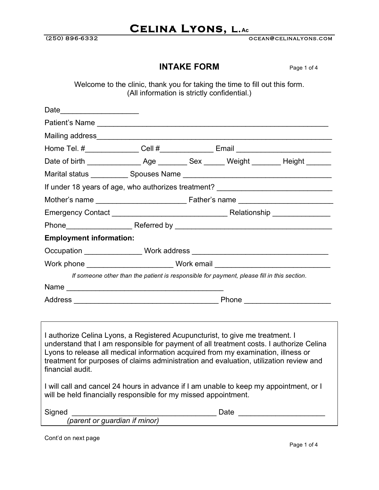(250) 896-6332 ocean@celinalyons.com

### **INTAKE FORM** Page 1 of 4

Welcome to the clinic, thank you for taking the time to fill out this form. (All information is strictly confidential.)

| Date                                                                                                                                                                                                                                                                                                                                                                        |      |  |                                                                                            |  |  |
|-----------------------------------------------------------------------------------------------------------------------------------------------------------------------------------------------------------------------------------------------------------------------------------------------------------------------------------------------------------------------------|------|--|--------------------------------------------------------------------------------------------|--|--|
| Patient's Name                                                                                                                                                                                                                                                                                                                                                              |      |  |                                                                                            |  |  |
|                                                                                                                                                                                                                                                                                                                                                                             |      |  |                                                                                            |  |  |
| Home Tel. #________________Cell #________________Email _________________________                                                                                                                                                                                                                                                                                            |      |  |                                                                                            |  |  |
|                                                                                                                                                                                                                                                                                                                                                                             |      |  |                                                                                            |  |  |
|                                                                                                                                                                                                                                                                                                                                                                             |      |  |                                                                                            |  |  |
| If under 18 years of age, who authorizes treatment? ____________________________                                                                                                                                                                                                                                                                                            |      |  |                                                                                            |  |  |
|                                                                                                                                                                                                                                                                                                                                                                             |      |  |                                                                                            |  |  |
|                                                                                                                                                                                                                                                                                                                                                                             |      |  |                                                                                            |  |  |
|                                                                                                                                                                                                                                                                                                                                                                             |      |  |                                                                                            |  |  |
| <b>Employment information:</b>                                                                                                                                                                                                                                                                                                                                              |      |  |                                                                                            |  |  |
|                                                                                                                                                                                                                                                                                                                                                                             |      |  |                                                                                            |  |  |
|                                                                                                                                                                                                                                                                                                                                                                             |      |  |                                                                                            |  |  |
|                                                                                                                                                                                                                                                                                                                                                                             |      |  | If someone other than the patient is responsible for payment, please fill in this section. |  |  |
|                                                                                                                                                                                                                                                                                                                                                                             |      |  |                                                                                            |  |  |
|                                                                                                                                                                                                                                                                                                                                                                             |      |  |                                                                                            |  |  |
|                                                                                                                                                                                                                                                                                                                                                                             |      |  |                                                                                            |  |  |
| I authorize Celina Lyons, a Registered Acupuncturist, to give me treatment. I<br>understand that I am responsible for payment of all treatment costs. I authorize Celina<br>Lyons to release all medical information acquired from my examination, illness or<br>treatment for purposes of claims administration and evaluation, utilization review and<br>financial audit. |      |  |                                                                                            |  |  |
| I will call and cancel 24 hours in advance if I am unable to keep my appointment, or I<br>will be held financially responsible for my missed appointment.                                                                                                                                                                                                                   |      |  |                                                                                            |  |  |
| Signed                                                                                                                                                                                                                                                                                                                                                                      | Date |  |                                                                                            |  |  |

*(parent or guardian if minor)*

Cont'd on next page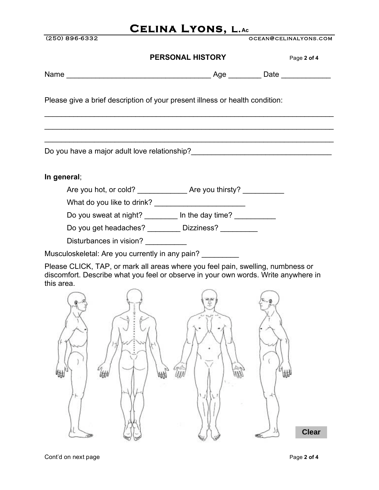(250) 896-6332 ocean@celinalyons.com **PERSONAL HISTORY** Page 2 of 4 Name \_\_\_\_\_\_\_\_\_\_\_\_\_\_\_\_\_\_\_\_\_\_\_\_\_\_\_\_\_\_\_\_\_\_\_ Age \_\_\_\_\_\_\_\_ Date \_\_\_\_\_\_\_\_\_\_\_\_ Please give a brief description of your present illness or health condition:  $\mathcal{L}_\text{max}$  and  $\mathcal{L}_\text{max}$  and  $\mathcal{L}_\text{max}$  and  $\mathcal{L}_\text{max}$  and  $\mathcal{L}_\text{max}$  and  $\mathcal{L}_\text{max}$  $\mathcal{L}_\text{max}$  and  $\mathcal{L}_\text{max}$  and  $\mathcal{L}_\text{max}$  and  $\mathcal{L}_\text{max}$  and  $\mathcal{L}_\text{max}$  and  $\mathcal{L}_\text{max}$  $\mathcal{L}_\text{max}$  and  $\mathcal{L}_\text{max}$  and  $\mathcal{L}_\text{max}$  and  $\mathcal{L}_\text{max}$  and  $\mathcal{L}_\text{max}$  and  $\mathcal{L}_\text{max}$ Do you have a major adult love relationship?\_\_\_\_\_\_\_\_\_\_\_\_\_\_\_\_\_\_\_\_\_\_\_\_\_\_\_\_\_\_\_\_\_\_ **In general**; Are you hot, or cold? \_\_\_\_\_\_\_\_\_\_\_\_\_\_\_\_ Are you thirsty? \_\_\_\_\_\_\_\_\_\_\_\_ What do you like to drink? Do you sweat at night? \_\_\_\_\_\_\_\_ In the day time? \_\_\_\_\_\_\_\_\_ Do you get headaches? \_\_\_\_\_\_\_\_\_ Dizziness? \_\_\_\_\_\_\_\_\_ Disturbances in vision? Musculoskeletal: Are you currently in any pain?

Please CLICK, TAP, or mark all areas where you feel pain, swelling, numbness or discomfort. Describe what you feel or observe in your own words. Write anywhere in this area.

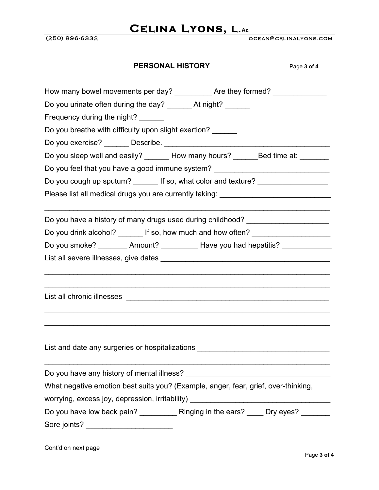(250) 896-6332 ocean@celinalyons.com

| <b>PERSONAL HISTORY</b><br>Page 3 of 4                                                                                                             |
|----------------------------------------------------------------------------------------------------------------------------------------------------|
| How many bowel movements per day? ____________ Are they formed? _______________                                                                    |
| Do you urinate often during the day? _______ At night? ______                                                                                      |
| Frequency during the night?                                                                                                                        |
| Do you breathe with difficulty upon slight exertion?                                                                                               |
| Do you exercise? _______ Describe. _________________________________                                                                               |
| Do you sleep well and easily? _______ How many hours? _______Bed time at: _______                                                                  |
| Do you feel that you have a good immune system? ________________________________                                                                   |
| Do you cough up sputum? _______ If so, what color and texture? _________________                                                                   |
| Please list all medical drugs you are currently taking: _________________________                                                                  |
| Do you have a history of many drugs used during childhood? _____________________                                                                   |
| Do you drink alcohol? _______ If so, how much and how often? ___________________                                                                   |
| Do you smoke? ________ Amount? __________ Have you had hepatitis? _____________                                                                    |
|                                                                                                                                                    |
|                                                                                                                                                    |
| List all chronic illnesses<br><u> 1980 - Johann Stoff, deutscher Stoff aus der Stoff aus der Stoff aus der Stoff aus der Stoff aus der Stoff a</u> |
|                                                                                                                                                    |
| List and date any surgeries or hospitalizations ________________________________                                                                   |
|                                                                                                                                                    |
| What negative emotion best suits you? (Example, anger, fear, grief, over-thinking,                                                                 |
| worrying, excess joy, depression, irritability) ________________________________                                                                   |
| Do you have low back pain? _____________ Ringing in the ears? _____ Dry eyes? _______                                                              |
| Sore joints? ___________________________                                                                                                           |